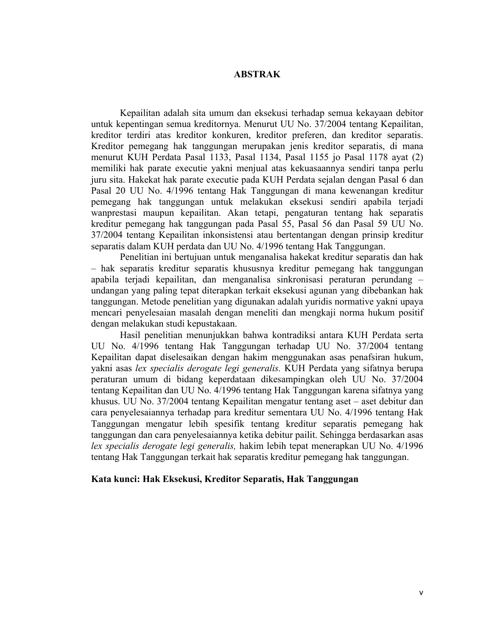## **ABSTRAK**

Kepailitan adalah sita umum dan eksekusi terhadap semua kekayaan debitor untuk kepentingan semua kreditornya. Menurut UU No. 37/2004 tentang Kepailitan, kreditor terdiri atas kreditor konkuren, kreditor preferen, dan kreditor separatis. Kreditor pemegang hak tanggungan merupakan jenis kreditor separatis, di mana menurut KUH Perdata Pasal 1133, Pasal 1134, Pasal 1155 jo Pasal 1178 ayat (2) memiliki hak parate executie yakni menjual atas kekuasaannya sendiri tanpa perlu juru sita. Hakekat hak parate executie pada KUH Perdata sejalan dengan Pasal 6 dan Pasal 20 UU No. 4/1996 tentang Hak Tanggungan di mana kewenangan kreditur pemegang hak tanggungan untuk melakukan eksekusi sendiri apabila terjadi wanprestasi maupun kepailitan. Akan tetapi, pengaturan tentang hak separatis kreditur pemegang hak tanggungan pada Pasal 55, Pasal 56 dan Pasal 59 UU No. 37/2004 tentang Kepailitan inkonsistensi atau bertentangan dengan prinsip kreditur separatis dalam KUH perdata dan UU No. 4/1996 tentang Hak Tanggungan.

Penelitian ini bertujuan untuk menganalisa hakekat kreditur separatis dan hak – hak separatis kreditur separatis khususnya kreditur pemegang hak tanggungan apabila terjadi kepailitan, dan menganalisa sinkronisasi peraturan perundang – undangan yang paling tepat diterapkan terkait eksekusi agunan yang dibebankan hak tanggungan. Metode penelitian yang digunakan adalah yuridis normative yakni upaya mencari penyelesaian masalah dengan meneliti dan mengkaji norma hukum positif dengan melakukan studi kepustakaan.

Hasil penelitian menunjukkan bahwa kontradiksi antara KUH Perdata serta UU No. 4/1996 tentang Hak Tanggungan terhadap UU No. 37/2004 tentang Kepailitan dapat diselesaikan dengan hakim menggunakan asas penafsiran hukum, yakni asas *lex specialis derogate legi generalis.* KUH Perdata yang sifatnya berupa peraturan umum di bidang keperdataan dikesampingkan oleh UU No. 37/2004 tentang Kepailitan dan UU No. 4/1996 tentang Hak Tanggungan karena sifatnya yang khusus. UU No. 37/2004 tentang Kepailitan mengatur tentang aset – aset debitur dan cara penyelesaiannya terhadap para kreditur sementara UU No. 4/1996 tentang Hak Tanggungan mengatur lebih spesifik tentang kreditur separatis pemegang hak tanggungan dan cara penyelesaiannya ketika debitur pailit. Sehingga berdasarkan asas *lex specialis derogate legi generalis,* hakim lebih tepat menerapkan UU No. 4/1996 tentang Hak Tanggungan terkait hak separatis kreditur pemegang hak tanggungan.

## **Kata kunci: Hak Eksekusi, Kreditor Separatis, Hak Tanggungan**